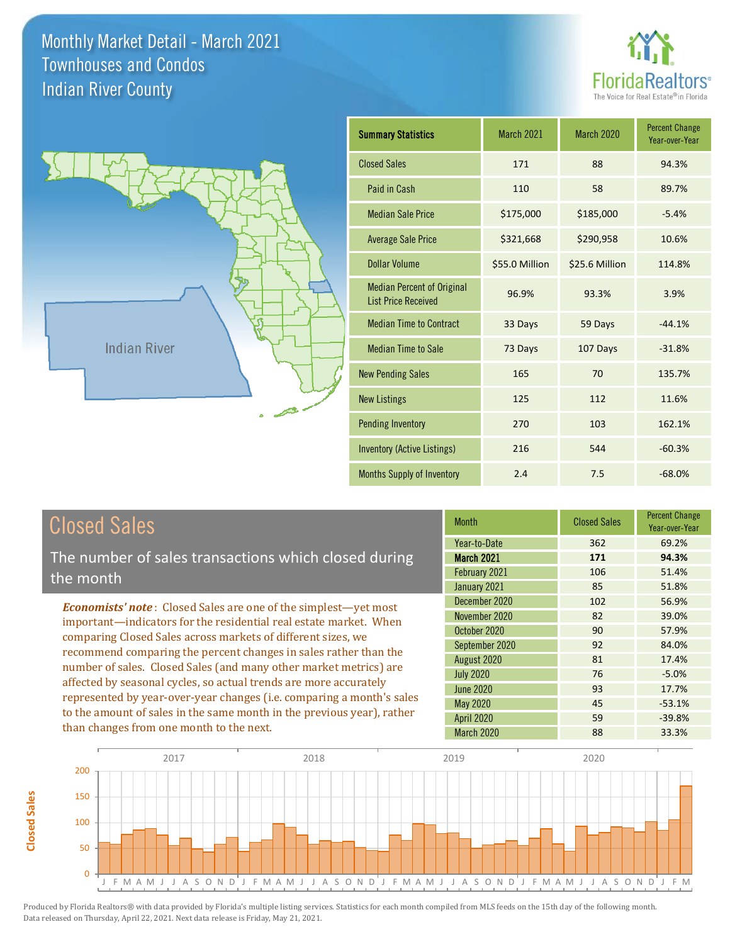



| <b>Summary Statistics</b>                                       | March 2021     | <b>March 2020</b> | <b>Percent Change</b><br>Year-over-Year |
|-----------------------------------------------------------------|----------------|-------------------|-----------------------------------------|
| <b>Closed Sales</b>                                             | 171            | 88                | 94.3%                                   |
| Paid in Cash                                                    | 110            | 58                | 89.7%                                   |
| <b>Median Sale Price</b>                                        | \$175,000      | \$185,000         | $-5.4%$                                 |
| <b>Average Sale Price</b>                                       | \$321,668      | \$290,958         | 10.6%                                   |
| Dollar Volume                                                   | \$55.0 Million | \$25.6 Million    | 114.8%                                  |
| <b>Median Percent of Original</b><br><b>List Price Received</b> | 96.9%          | 93.3%             | 3.9%                                    |
| <b>Median Time to Contract</b>                                  | 33 Days        | 59 Days           | $-44.1%$                                |
| <b>Median Time to Sale</b>                                      | 73 Days        | 107 Days          | $-31.8%$                                |
| <b>New Pending Sales</b>                                        | 165            | 70                | 135.7%                                  |
| <b>New Listings</b>                                             | 125            | 112               | 11.6%                                   |
| <b>Pending Inventory</b>                                        | 270            | 103               | 162.1%                                  |
| Inventory (Active Listings)                                     | 216            | 544               | $-60.3%$                                |
| Months Supply of Inventory                                      | 2.4            | 7.5               | $-68.0%$                                |

| <b>Closed Sales</b> |  |
|---------------------|--|
|---------------------|--|

The number of sales transactions which closed during the month

*Economists' note* : Closed Sales are one of the simplest—yet most important—indicators for the residential real estate market. When comparing Closed Sales across markets of different sizes, we recommend comparing the percent changes in sales rather than the number of sales. Closed Sales (and many other market metrics) are affected by seasonal cycles, so actual trends are more accurately represented by year-over-year changes (i.e. comparing a month's sales to the amount of sales in the same month in the previous year), rather than changes from one month to the next.

| <b>Month</b>      | <b>Closed Sales</b> | <b>Percent Change</b><br>Year-over-Year |
|-------------------|---------------------|-----------------------------------------|
| Year-to-Date      | 362                 | 69.2%                                   |
| <b>March 2021</b> | 171                 | 94.3%                                   |
| February 2021     | 106                 | 51.4%                                   |
| January 2021      | 85                  | 51.8%                                   |
| December 2020     | 102                 | 56.9%                                   |
| November 2020     | 82                  | 39.0%                                   |
| October 2020      | 90                  | 57.9%                                   |
| September 2020    | 92                  | 84.0%                                   |
| August 2020       | 81                  | 17.4%                                   |
| <b>July 2020</b>  | 76                  | $-5.0%$                                 |
| <b>June 2020</b>  | 93                  | 17.7%                                   |
| May 2020          | 45                  | $-53.1%$                                |
| <b>April 2020</b> | 59                  | $-39.8%$                                |
| <b>March 2020</b> | 88                  | 33.3%                                   |

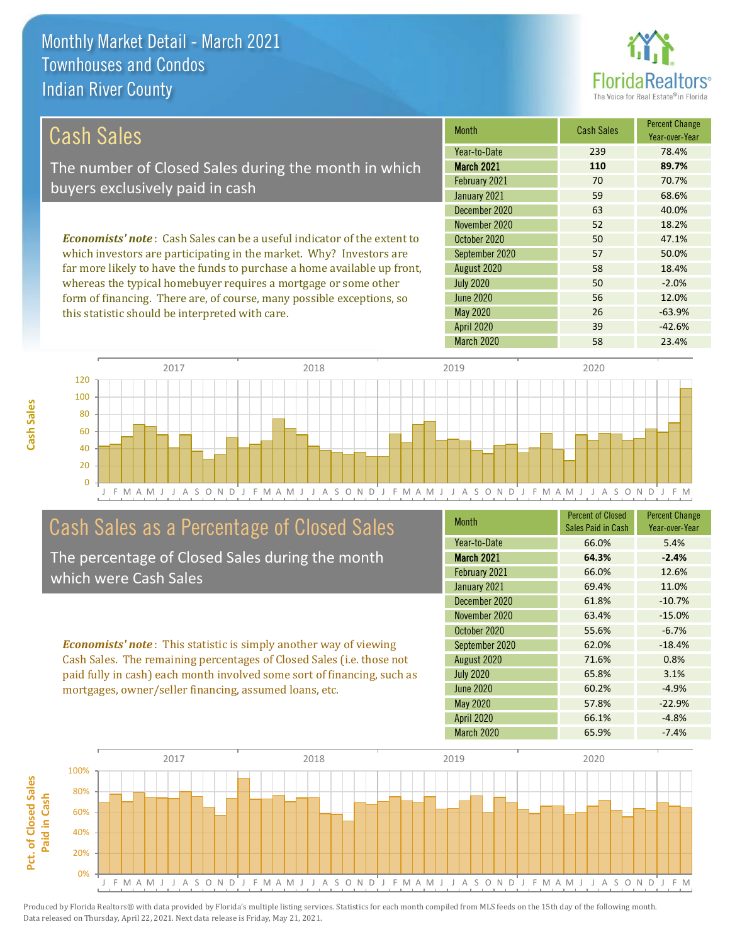

26 -63.9%

56 12.0%

| Cash Sales                                                                     | <b>Month</b>      | <b>Cash Sales</b> | <b>Percent Change</b><br>Year-over-Year |
|--------------------------------------------------------------------------------|-------------------|-------------------|-----------------------------------------|
|                                                                                | Year-to-Date      | 239               | 78.4%                                   |
| The number of Closed Sales during the month in which                           | <b>March 2021</b> | 110               | 89.7%                                   |
| buyers exclusively paid in cash                                                | February 2021     | 70                | 70.7%                                   |
|                                                                                | January 2021      | 59                | 68.6%                                   |
|                                                                                | December 2020     | 63                | 40.0%                                   |
|                                                                                | November 2020     | 52                | 18.2%                                   |
| <b>Economists' note:</b> Cash Sales can be a useful indicator of the extent to | October 2020      | 50                | 47.1%                                   |
| which investors are participating in the market. Why? Investors are            | September 2020    | 57                | 50.0%                                   |
| far more likely to have the funds to purchase a home available up front,       | August 2020       | 58                | 18.4%                                   |
| whereas the typical homebuyer requires a mortgage or some other                | <b>July 2020</b>  | 50                | $-2.0%$                                 |

June 2020

May 2020



### Cash Sales as a Percentage of Closed Sales

form of financing. There are, of course, many possible exceptions, so

this statistic should be interpreted with care.

The percentage of Closed Sales during the month which were Cash Sales

*Economists' note* : This statistic is simply another way of viewing Cash Sales. The remaining percentages of Closed Sales (i.e. those not paid fully in cash) each month involved some sort of financing, such as mortgages, owner/seller financing, assumed loans, etc.

| <b>Month</b>      | <b>Percent of Closed</b><br>Sales Paid in Cash | <b>Percent Change</b><br>Year-over-Year |
|-------------------|------------------------------------------------|-----------------------------------------|
| Year-to-Date      | 66.0%                                          | 5.4%                                    |
| <b>March 2021</b> | 64.3%                                          | $-2.4%$                                 |
| February 2021     | 66.0%                                          | 12.6%                                   |
| January 2021      | 69.4%                                          | 11.0%                                   |
| December 2020     | 61.8%                                          | $-10.7%$                                |
| November 2020     | 63.4%                                          | $-15.0%$                                |
| October 2020      | 55.6%                                          | $-6.7%$                                 |
| September 2020    | 62.0%                                          | $-18.4%$                                |
| August 2020       | 71.6%                                          | 0.8%                                    |
| <b>July 2020</b>  | 65.8%                                          | 3.1%                                    |
| <b>June 2020</b>  | 60.2%                                          | $-4.9%$                                 |
| <b>May 2020</b>   | 57.8%                                          | $-22.9%$                                |
| <b>April 2020</b> | 66.1%                                          | $-4.8%$                                 |
| March 2020        | 65.9%                                          | $-7.4%$                                 |

April 2020 39 -42.6%

March 2020 58 23.4%



**Cash Sales**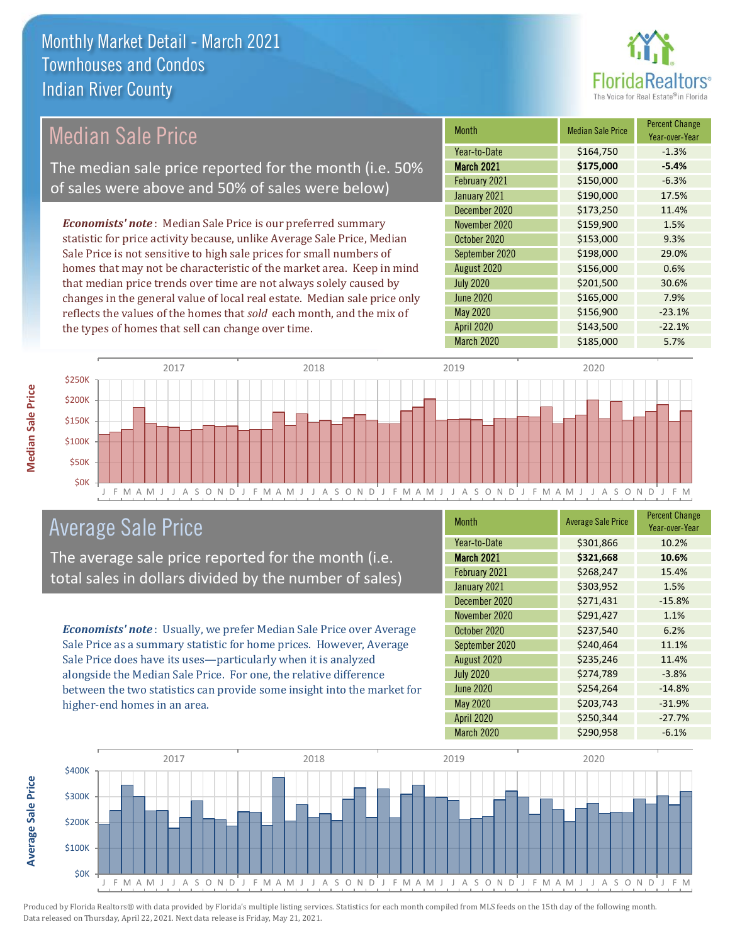

## Median Sale Price

The median sale price reported for the month (i.e. 50% of sales were above and 50% of sales were below)

*Economists' note* : Median Sale Price is our preferred summary statistic for price activity because, unlike Average Sale Price, Median Sale Price is not sensitive to high sale prices for small numbers of homes that may not be characteristic of the market area. Keep in mind that median price trends over time are not always solely caused by changes in the general value of local real estate. Median sale price only reflects the values of the homes that *sold* each month, and the mix of the types of homes that sell can change over time.

| <b>Month</b>      | <b>Median Sale Price</b> | <b>Percent Change</b><br>Year-over-Year |
|-------------------|--------------------------|-----------------------------------------|
| Year-to-Date      | \$164,750                | $-1.3%$                                 |
| <b>March 2021</b> | \$175,000                | $-5.4%$                                 |
| February 2021     | \$150,000                | $-6.3%$                                 |
| January 2021      | \$190,000                | 17.5%                                   |
| December 2020     | \$173,250                | 11.4%                                   |
| November 2020     | \$159,900                | 1.5%                                    |
| October 2020      | \$153,000                | 9.3%                                    |
| September 2020    | \$198,000                | 29.0%                                   |
| August 2020       | \$156,000                | 0.6%                                    |
| <b>July 2020</b>  | \$201,500                | 30.6%                                   |
| <b>June 2020</b>  | \$165,000                | 7.9%                                    |
| May 2020          | \$156,900                | $-23.1%$                                |
| <b>April 2020</b> | \$143,500                | $-22.1%$                                |
| March 2020        | \$185,000                | 5.7%                                    |



### Average Sale Price

The average sale price reported for the month (i.e. total sales in dollars divided by the number of sales)

*Economists' note* : Usually, we prefer Median Sale Price over Average Sale Price as a summary statistic for home prices. However, Average Sale Price does have its uses—particularly when it is analyzed alongside the Median Sale Price. For one, the relative difference between the two statistics can provide some insight into the market for higher-end homes in an area.

| Month             | <b>Average Sale Price</b> | <b>Percent Change</b><br>Year-over-Year |
|-------------------|---------------------------|-----------------------------------------|
| Year-to-Date      | \$301,866                 | 10.2%                                   |
| <b>March 2021</b> | \$321,668                 | 10.6%                                   |
| February 2021     | \$268,247                 | 15.4%                                   |
| January 2021      | \$303,952                 | 1.5%                                    |
| December 2020     | \$271,431                 | $-15.8%$                                |
| November 2020     | \$291,427                 | 1.1%                                    |
| October 2020      | \$237,540                 | 6.2%                                    |
| September 2020    | \$240,464                 | 11.1%                                   |
| August 2020       | \$235,246                 | 11.4%                                   |
| <b>July 2020</b>  | \$274,789                 | $-3.8%$                                 |
| <b>June 2020</b>  | \$254,264                 | $-14.8%$                                |
| May 2020          | \$203,743                 | $-31.9%$                                |
| <b>April 2020</b> | \$250,344                 | $-27.7%$                                |
| March 2020        | \$290,958                 | $-6.1%$                                 |



Produced by Florida Realtors® with data provided by Florida's multiple listing services. Statistics for each month compiled from MLS feeds on the 15th day of the following month. Data released on Thursday, April 22, 2021. Next data release is Friday, May 21, 2021.

**Average Sale Price**

Average Sale Price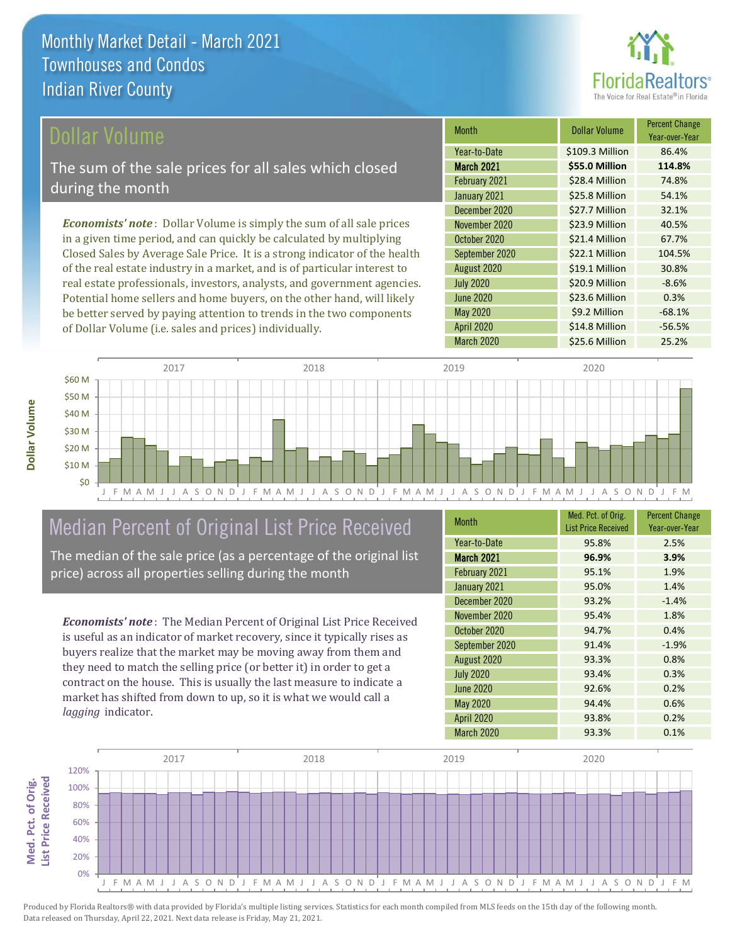

Year-over-Year

### Dollar Volume

The sum of the sale prices for all sales which closed during the month

*Economists' note* : Dollar Volume is simply the sum of all sale prices in a given time period, and can quickly be calculated by multiplying Closed Sales by Average Sale Price. It is a strong indicator of the health of the real estate industry in a market, and is of particular interest to real estate professionals, investors, analysts, and government agencies. Potential home sellers and home buyers, on the other hand, will likely be better served by paying attention to trends in the two components of Dollar Volume (i.e. sales and prices) individually.



## Median Percent of Original List Price Received

The median of the sale price (as a percentage of the original list price) across all properties selling during the month

*Economists' note* : The Median Percent of Original List Price Received is useful as an indicator of market recovery, since it typically rises as buyers realize that the market may be moving away from them and they need to match the selling price (or better it) in order to get a contract on the house. This is usually the last measure to indicate a market has shifted from down to up, so it is what we would call a *lagging* indicator.

| <b>Month</b>      | Med. Pct. of Orig.<br><b>List Price Received</b> | <b>Percent Change</b><br>Year-over-Year |
|-------------------|--------------------------------------------------|-----------------------------------------|
| Year-to-Date      | 95.8%                                            | 2.5%                                    |
| <b>March 2021</b> | 96.9%                                            | 3.9%                                    |
| February 2021     | 95.1%                                            | 1.9%                                    |
| January 2021      | 95.0%                                            | 1.4%                                    |
| December 2020     | 93.2%                                            | $-1.4%$                                 |
| November 2020     | 95.4%                                            | 1.8%                                    |
| October 2020      | 94.7%                                            | 0.4%                                    |
| September 2020    | 91.4%                                            | $-1.9%$                                 |
| August 2020       | 93.3%                                            | 0.8%                                    |
| <b>July 2020</b>  | 93.4%                                            | 0.3%                                    |
| <b>June 2020</b>  | 92.6%                                            | 0.2%                                    |
| <b>May 2020</b>   | 94.4%                                            | 0.6%                                    |
| <b>April 2020</b> | 93.8%                                            | 0.2%                                    |
| March 2020        | 93.3%                                            | 0.1%                                    |

July 2020 **\$20.9 Million** -8.6%

December 2020 \$27.7 Million 32.1% November 2020 <br>
S23.9 Million 40.5% October 2020 \$21.4 Million 67.7% September 2020 \$22.1 Million 104.5% August 2020 <br>  $\begin{array}{|c|c|c|c|}\n\hline\n\text{$519.1 Million} & \text{30.8\%} \\
\hline\n\end{array}$ 

February 2021 **\$28.4 Million 74.8%** January 2021 **\$25.8 Million** 54.1%

March 2021 **\$55.0 Million 114.8%** Year-to-Date \$109.3 Million 86.4%

Month **Dollar Volume** Percent Change

April 2020 \$14.8 Million -56.5%

March 2020 \$25.6 Million 25.2%

\$9.2 Million -68.1%

\$23.6 Million 0.3%

June 2020

May 2020

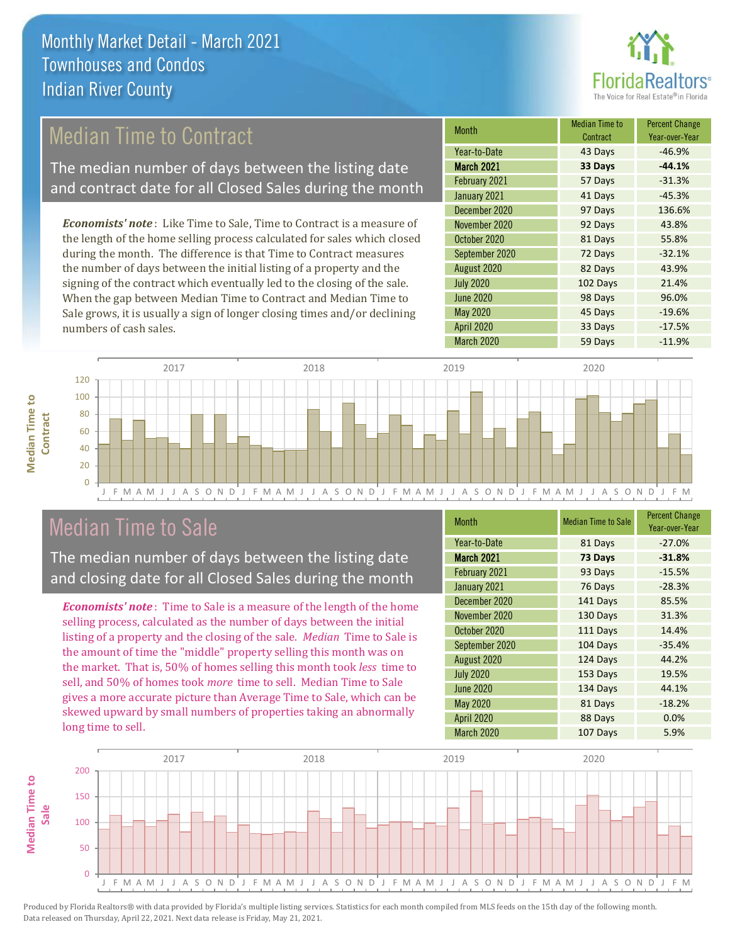

## Median Time to Contract

The median number of days between the listing date and contract date for all Closed Sales during the month

*Economists' note* : Like Time to Sale, Time to Contract is a measure of the length of the home selling process calculated for sales which closed during the month. The difference is that Time to Contract measures the number of days between the initial listing of a property and the signing of the contract which eventually led to the closing of the sale. When the gap between Median Time to Contract and Median Time to Sale grows, it is usually a sign of longer closing times and/or declining numbers of cash sales.

| Month             | Median Time to<br>Contract | <b>Percent Change</b><br>Year-over-Year |
|-------------------|----------------------------|-----------------------------------------|
| Year-to-Date      | 43 Days                    | $-46.9%$                                |
| <b>March 2021</b> | 33 Days                    | $-44.1%$                                |
| February 2021     | 57 Days                    | $-31.3%$                                |
| January 2021      | 41 Days                    | $-45.3%$                                |
| December 2020     | 97 Days                    | 136.6%                                  |
| November 2020     | 92 Days                    | 43.8%                                   |
| October 2020      | 81 Days                    | 55.8%                                   |
| September 2020    | 72 Days                    | $-32.1%$                                |
| August 2020       | 82 Days                    | 43.9%                                   |
| <b>July 2020</b>  | 102 Days                   | 21.4%                                   |
| <b>June 2020</b>  | 98 Days                    | 96.0%                                   |
| <b>May 2020</b>   | 45 Days                    | $-19.6%$                                |
| April 2020        | 33 Days                    | $-17.5%$                                |
| March 2020        | 59 Days                    | $-11.9%$                                |



### Median Time to Sale

**Median Time to** 

**Median Time to** 

The median number of days between the listing date and closing date for all Closed Sales during the month

*Economists' note* : Time to Sale is a measure of the length of the home selling process, calculated as the number of days between the initial listing of a property and the closing of the sale. *Median* Time to Sale is the amount of time the "middle" property selling this month was on the market. That is, 50% of homes selling this month took *less* time to sell, and 50% of homes took *more* time to sell. Median Time to Sale gives a more accurate picture than Average Time to Sale, which can be skewed upward by small numbers of properties taking an abnormally long time to sell.

| Month             | <b>Median Time to Sale</b> | <b>Percent Change</b><br>Year-over-Year |
|-------------------|----------------------------|-----------------------------------------|
| Year-to-Date      | 81 Days                    | $-27.0%$                                |
| <b>March 2021</b> | 73 Days                    | $-31.8%$                                |
| February 2021     | 93 Days                    | $-15.5%$                                |
| January 2021      | 76 Days                    | $-28.3%$                                |
| December 2020     | 141 Days                   | 85.5%                                   |
| November 2020     | 130 Days                   | 31.3%                                   |
| October 2020      | 111 Days                   | 14.4%                                   |
| September 2020    | 104 Days                   | $-35.4%$                                |
| August 2020       | 124 Days                   | 44.2%                                   |
| <b>July 2020</b>  | 153 Days                   | 19.5%                                   |
| <b>June 2020</b>  | 134 Days                   | 44.1%                                   |
| May 2020          | 81 Days                    | $-18.2%$                                |
| <b>April 2020</b> | 88 Days                    | 0.0%                                    |
| March 2020        | 107 Days                   | 5.9%                                    |

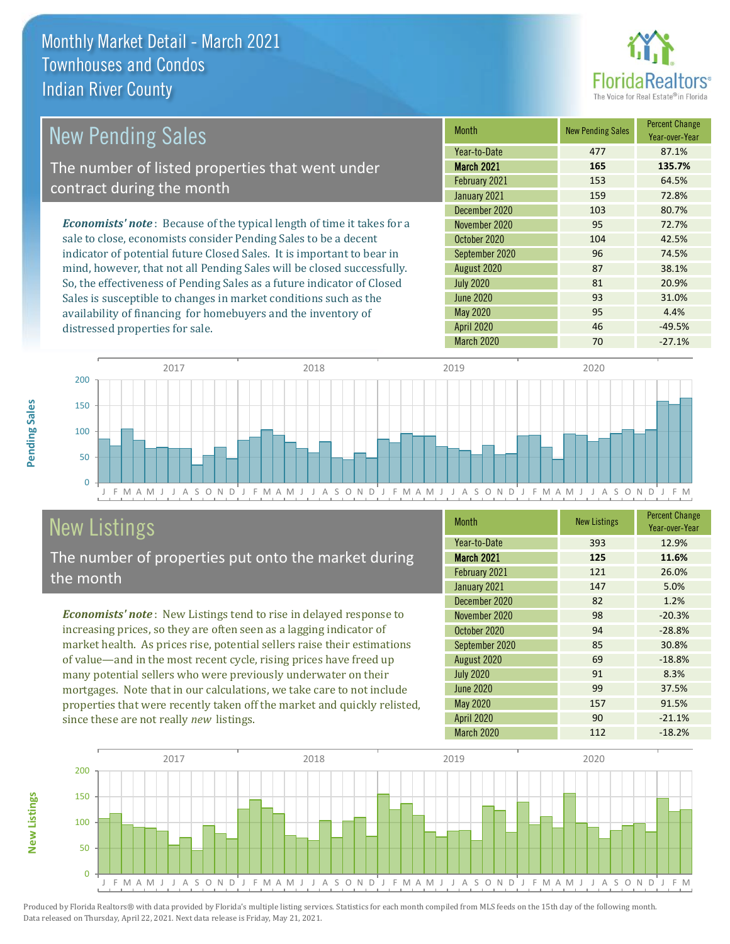

| <b>New Pending Sales</b>                                                       | <b>Month</b>      | <b>New Pending Sales</b> | <b>Percent Change</b><br>Year-over-Year |
|--------------------------------------------------------------------------------|-------------------|--------------------------|-----------------------------------------|
|                                                                                | Year-to-Date      | 477                      | 87.1%                                   |
| The number of listed properties that went under                                | <b>March 2021</b> | 165                      | 135.7%                                  |
| contract during the month                                                      | February 2021     | 153                      | 64.5%                                   |
|                                                                                | January 2021      | 159                      | 72.8%                                   |
|                                                                                | December 2020     | 103                      | 80.7%                                   |
| <b>Economists' note</b> : Because of the typical length of time it takes for a | November 2020     | 95                       | 72.7%                                   |
| sale to close, economists consider Pending Sales to be a decent                | October 2020      | 104                      | 42.5%                                   |
| indicator of potential future Closed Sales. It is important to bear in         | September 2020    | 96                       | 74.5%                                   |
| mind, however, that not all Pending Sales will be closed successfully.         | August 2020       | 87                       | 38.1%                                   |
| So, the effectiveness of Pending Sales as a future indicator of Closed         | <b>July 2020</b>  | 81                       | 20.9%                                   |
| Sales is susceptible to changes in market conditions such as the               | June 2020         | 93                       | 31.0%                                   |



# New Listings

distressed properties for sale.

The number of properties put onto the market during the month

availability of financing for homebuyers and the inventory of

*Economists' note* : New Listings tend to rise in delayed response to increasing prices, so they are often seen as a lagging indicator of market health. As prices rise, potential sellers raise their estimations of value—and in the most recent cycle, rising prices have freed up many potential sellers who were previously underwater on their mortgages. Note that in our calculations, we take care to not include properties that were recently taken off the market and quickly relisted, since these are not really *new* listings.

| <b>Month</b>      | <b>New Listings</b> | <b>Percent Change</b><br>Year-over-Year |
|-------------------|---------------------|-----------------------------------------|
| Year-to-Date      | 393                 | 12.9%                                   |
| <b>March 2021</b> | 125                 | 11.6%                                   |
| February 2021     | 121                 | 26.0%                                   |
| January 2021      | 147                 | 5.0%                                    |
| December 2020     | 82                  | 1.2%                                    |
| November 2020     | 98                  | $-20.3%$                                |
| October 2020      | 94                  | $-28.8%$                                |
| September 2020    | 85                  | 30.8%                                   |
| August 2020       | 69                  | $-18.8%$                                |
| <b>July 2020</b>  | 91                  | 8.3%                                    |
| <b>June 2020</b>  | 99                  | 37.5%                                   |
| <b>May 2020</b>   | 157                 | 91.5%                                   |
| <b>April 2020</b> | 90                  | $-21.1%$                                |
| March 2020        | 112                 | $-18.2%$                                |

May 2020 **95** 4.4% April 2020 **46** -49.5%



Produced by Florida Realtors® with data provided by Florida's multiple listing services. Statistics for each month compiled from MLS feeds on the 15th day of the following month. Data released on Thursday, April 22, 2021. Next data release is Friday, May 21, 2021.

**New Listings**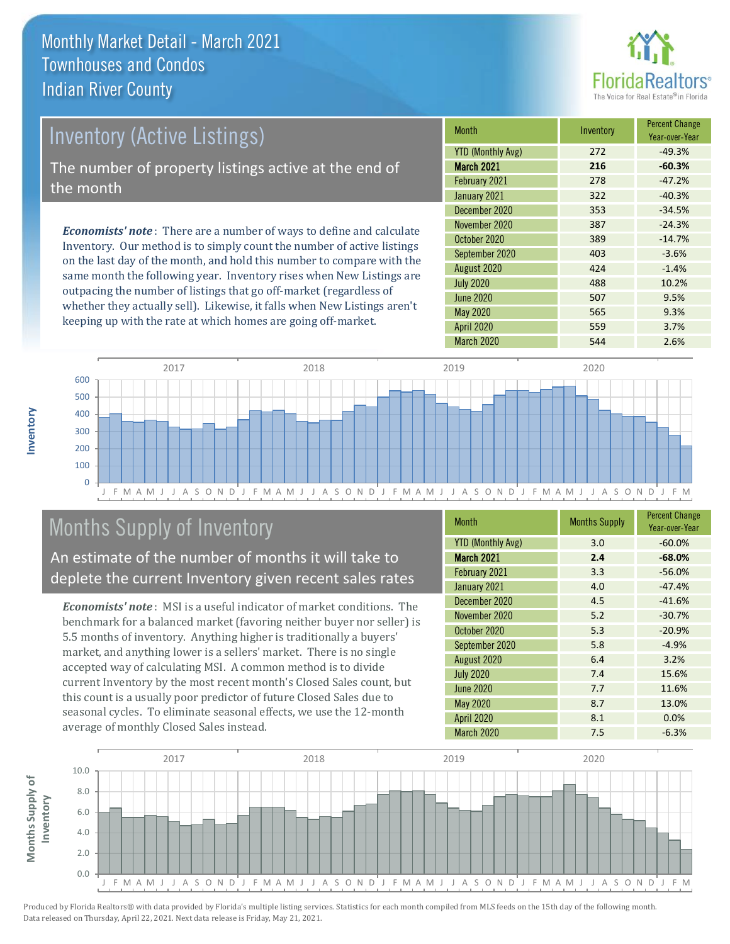the month



# Inventory (Active Listings) The number of property listings active at the end of

*Economists' note* : There are a number of ways to define and calculate Inventory. Our method is to simply count the number of active listings on the last day of the month, and hold this number to compare with the same month the following year. Inventory rises when New Listings are outpacing the number of listings that go off-market (regardless of whether they actually sell). Likewise, it falls when New Listings aren't keeping up with the rate at which homes are going off-market.

| <b>Month</b>             | Inventory | <b>Percent Change</b><br>Year-over-Year |
|--------------------------|-----------|-----------------------------------------|
| <b>YTD (Monthly Avg)</b> | 272       | $-49.3%$                                |
| <b>March 2021</b>        | 216       | $-60.3%$                                |
| February 2021            | 278       | $-47.2%$                                |
| January 2021             | 322       | $-40.3%$                                |
| December 2020            | 353       | $-34.5%$                                |
| November 2020            | 387       | $-24.3%$                                |
| October 2020             | 389       | $-14.7%$                                |
| September 2020           | 403       | $-3.6%$                                 |
| August 2020              | 424       | $-1.4%$                                 |
| <b>July 2020</b>         | 488       | 10.2%                                   |
| <b>June 2020</b>         | 507       | 9.5%                                    |
| <b>May 2020</b>          | 565       | 9.3%                                    |
| <b>April 2020</b>        | 559       | 3.7%                                    |
| <b>March 2020</b>        | 544       | 2.6%                                    |



# Months Supply of Inventory

An estimate of the number of months it will take to deplete the current Inventory given recent sales rates

*Economists' note* : MSI is a useful indicator of market conditions. The benchmark for a balanced market (favoring neither buyer nor seller) is 5.5 months of inventory. Anything higher is traditionally a buyers' market, and anything lower is a sellers' market. There is no single accepted way of calculating MSI. A common method is to divide current Inventory by the most recent month's Closed Sales count, but this count is a usually poor predictor of future Closed Sales due to seasonal cycles. To eliminate seasonal effects, we use the 12-month average of monthly Closed Sales instead.

| <b>Month</b>             | <b>Months Supply</b> | <b>Percent Change</b><br>Year-over-Year |
|--------------------------|----------------------|-----------------------------------------|
| <b>YTD (Monthly Avg)</b> | 3.0                  | $-60.0%$                                |
| March 2021               | 2.4                  | $-68.0%$                                |
| February 2021            | 3.3                  | $-56.0%$                                |
| January 2021             | 4.0                  | $-47.4%$                                |
| December 2020            | 4.5                  | $-41.6%$                                |
| November 2020            | 5.2                  | $-30.7%$                                |
| October 2020             | 5.3                  | $-20.9%$                                |
| September 2020           | 5.8                  | $-4.9%$                                 |
| August 2020              | 6.4                  | 3.2%                                    |
| <b>July 2020</b>         | 7.4                  | 15.6%                                   |
| June 2020                | 7.7                  | 11.6%                                   |
| May 2020                 | 8.7                  | 13.0%                                   |
| <b>April 2020</b>        | 8.1                  | 0.0%                                    |
| March 2020               | 7.5                  | $-6.3%$                                 |

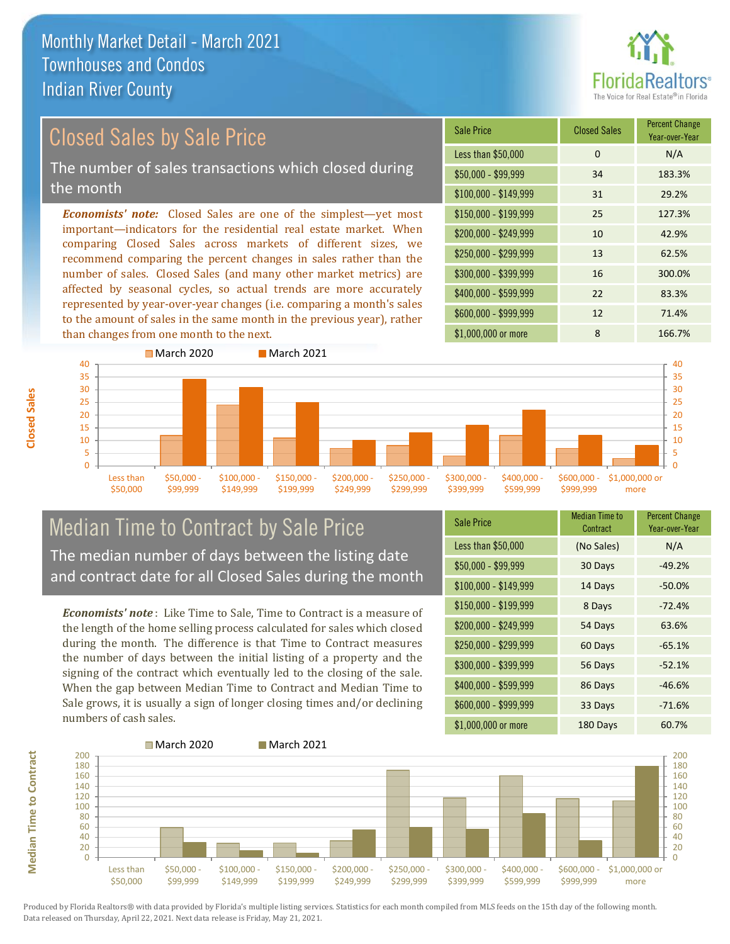

# Closed Sales by Sale Price

The number of sales transactions which closed during the month

*Economists' note:* Closed Sales are one of the simplest—yet most important—indicators for the residential real estate market. When comparing Closed Sales across markets of different sizes, we recommend comparing the percent changes in sales rather than the number of sales. Closed Sales (and many other market metrics) are affected by seasonal cycles, so actual trends are more accurately represented by year-over-year changes (i.e. comparing a month's sales to the amount of sales in the same month in the previous year), rather than changes from one month to the next.





### Median Time to Contract by Sale Price The median number of days between the listing date and contract date for all Closed Sales during the month

*Economists' note* : Like Time to Sale, Time to Contract is a measure of the length of the home selling process calculated for sales which closed during the month. The difference is that Time to Contract measures the number of days between the initial listing of a property and the signing of the contract which eventually led to the closing of the sale. When the gap between Median Time to Contract and Median Time to Sale grows, it is usually a sign of longer closing times and/or declining numbers of cash sales.

| <b>Sale Price</b>     | <b>Median Time to</b><br>Contract | <b>Percent Change</b><br>Year-over-Year |
|-----------------------|-----------------------------------|-----------------------------------------|
| Less than \$50,000    | (No Sales)                        | N/A                                     |
| $$50,000 - $99,999$   | 30 Days                           | $-49.2%$                                |
| $$100,000 - $149,999$ | 14 Days                           | $-50.0%$                                |
| $$150,000 - $199,999$ | 8 Days                            | $-72.4%$                                |
| \$200,000 - \$249,999 | 54 Days                           | 63.6%                                   |
| \$250,000 - \$299,999 | 60 Days                           | $-65.1%$                                |
| \$300,000 - \$399,999 | 56 Days                           | $-52.1%$                                |
| \$400,000 - \$599,999 | 86 Days                           | $-46.6%$                                |
| \$600,000 - \$999,999 | 33 Days                           | $-71.6%$                                |
| \$1,000,000 or more   | 180 Days                          | 60.7%                                   |

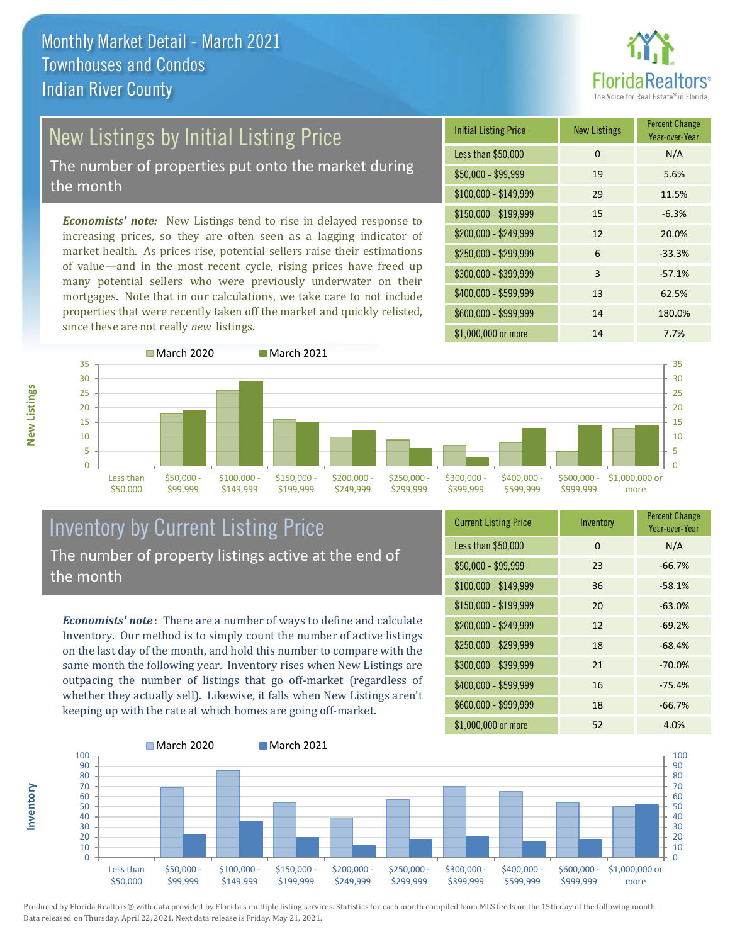

# New Listings by Initial Listing Price

The number of properties put onto the market during the month

*Economists' note:* New Listings tend to rise in delayed response to increasing prices, so they are often seen as a lagging indicator of market health. As prices rise, potential sellers raise their estimations of value—and in the most recent cycle, rising prices have freed up many potential sellers who were previously underwater on their mortgages. Note that in our calculations, we take care to not include properties that were recently taken off the market and quickly relisted, since these are not really *new* listings.

| <b>Initial Listing Price</b> | <b>New Listings</b> | <b>Percent Change</b><br>Year-over-Year |
|------------------------------|---------------------|-----------------------------------------|
| Less than \$50,000           | $\Omega$            | N/A                                     |
| $$50,000 - $99,999$          | 19                  | 5.6%                                    |
| $$100,000 - $149,999$        | 29                  | 11.5%                                   |
| $$150,000 - $199,999$        | 15                  | $-6.3%$                                 |
| \$200,000 - \$249,999        | 12                  | 20.0%                                   |
| \$250,000 - \$299,999        | 6                   | $-33.3%$                                |
| \$300,000 - \$399,999        | 3                   | $-57.1%$                                |
| \$400,000 - \$599,999        | 13                  | 62.5%                                   |
| \$600,000 - \$999,999        | 14                  | 180.0%                                  |
| \$1,000,000 or more          | 14                  | 7.7%                                    |



### Inventory by Current Listing Price The number of property listings active at the end of the month

*Economists' note* : There are a number of ways to define and calculate Inventory. Our method is to simply count the number of active listings on the last day of the month, and hold this number to compare with the same month the following year. Inventory rises when New Listings are outpacing the number of listings that go off-market (regardless of whether they actually sell). Likewise, it falls when New Listings aren't keeping up with the rate at which homes are going off-market.

| <b>Current Listing Price</b> | Inventory | <b>Percent Change</b><br>Year-over-Year |
|------------------------------|-----------|-----------------------------------------|
| Less than \$50,000           | 0         | N/A                                     |
| $$50,000 - $99,999$          | 23        | $-66.7%$                                |
| $$100,000 - $149,999$        | 36        | $-58.1%$                                |
| $$150,000 - $199,999$        | 20        | $-63.0%$                                |
| \$200,000 - \$249,999        | 12        | $-69.2%$                                |
| \$250,000 - \$299,999        | 18        | $-68.4%$                                |
| \$300,000 - \$399,999        | 21        | $-70.0%$                                |
| \$400,000 - \$599,999        | 16        | $-75.4%$                                |
| \$600,000 - \$999,999        | 18        | $-66.7%$                                |
| \$1,000,000 or more          | 52        | 4.0%                                    |



Produced by Florida Realtors® with data provided by Florida's multiple listing services. Statistics for each month compiled from MLS feeds on the 15th day of the following month. Data released on Thursday, April 22, 2021. Next data release is Friday, May 21, 2021.

**Inventory**